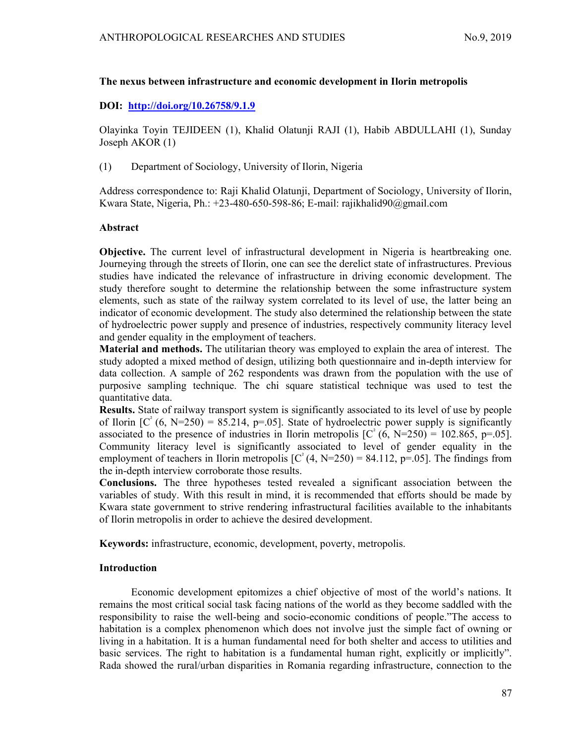### The nexus between infrastructure and economic development in Ilorin metropolis

## DOI: http://doi.org/10.26758/9.1.9

Olayinka Toyin TEJIDEEN (1), Khalid Olatunji RAJI (1), Habib ABDULLAHI (1), Sunday Joseph AKOR (1)

(1) Department of Sociology, University of Ilorin, Nigeria

Address correspondence to: Raji Khalid Olatunji, Department of Sociology, University of Ilorin, Kwara State, Nigeria, Ph.: +23-480-650-598-86; E-mail: rajikhalid90@gmail.com

### Abstract

Objective. The current level of infrastructural development in Nigeria is heartbreaking one. Journeying through the streets of Ilorin, one can see the derelict state of infrastructures. Previous studies have indicated the relevance of infrastructure in driving economic development. The study therefore sought to determine the relationship between the some infrastructure system elements, such as state of the railway system correlated to its level of use, the latter being an indicator of economic development. The study also determined the relationship between the state of hydroelectric power supply and presence of industries, respectively community literacy level and gender equality in the employment of teachers.

Material and methods. The utilitarian theory was employed to explain the area of interest. The study adopted a mixed method of design, utilizing both questionnaire and in-depth interview for data collection. A sample of 262 respondents was drawn from the population with the use of purposive sampling technique. The chi square statistical technique was used to test the quantitative data.

Results. State of railway transport system is significantly associated to its level of use by people of Ilorin  $[C^{2}(6, N=250) = 85.214, p=.05]$ . State of hydroelectric power supply is significantly associated to the presence of industries in Ilorin metropolis  $[C^{2}(6, N=250) = 102.865, p=.05]$ . Community literacy level is significantly associated to level of gender equality in the employment of teachers in Ilorin metropolis  $[C^{2}(4, N=250) = 84.112, p=.05]$ . The findings from the in-depth interview corroborate those results.

Conclusions. The three hypotheses tested revealed a significant association between the variables of study. With this result in mind, it is recommended that efforts should be made by Kwara state government to strive rendering infrastructural facilities available to the inhabitants of Ilorin metropolis in order to achieve the desired development.

Keywords: infrastructure, economic, development, poverty, metropolis.

# Introduction

Economic development epitomizes a chief objective of most of the world's nations. It remains the most critical social task facing nations of the world as they become saddled with the responsibility to raise the well-being and socio-economic conditions of people."The access to habitation is a complex phenomenon which does not involve just the simple fact of owning or living in a habitation. It is a human fundamental need for both shelter and access to utilities and basic services. The right to habitation is a fundamental human right, explicitly or implicitly". Rada showed the rural/urban disparities in Romania regarding infrastructure, connection to the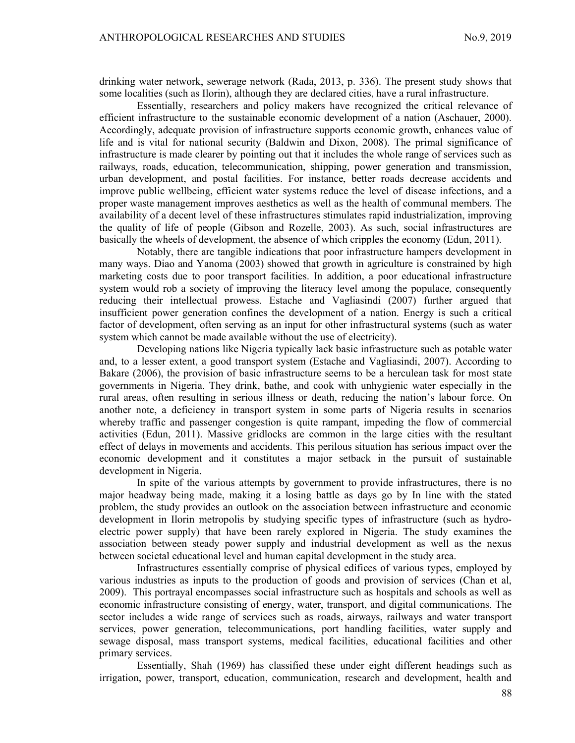drinking water network, sewerage network (Rada, 2013, p. 336). The present study shows that some localities (such as Ilorin), although they are declared cities, have a rural infrastructure.

Essentially, researchers and policy makers have recognized the critical relevance of efficient infrastructure to the sustainable economic development of a nation (Aschauer, 2000). Accordingly, adequate provision of infrastructure supports economic growth, enhances value of life and is vital for national security (Baldwin and Dixon, 2008). The primal significance of infrastructure is made clearer by pointing out that it includes the whole range of services such as railways, roads, education, telecommunication, shipping, power generation and transmission, urban development, and postal facilities. For instance, better roads decrease accidents and improve public wellbeing, efficient water systems reduce the level of disease infections, and a proper waste management improves aesthetics as well as the health of communal members. The availability of a decent level of these infrastructures stimulates rapid industrialization, improving the quality of life of people (Gibson and Rozelle, 2003). As such, social infrastructures are basically the wheels of development, the absence of which cripples the economy (Edun, 2011).

Notably, there are tangible indications that poor infrastructure hampers development in many ways. Diao and Yanoma (2003) showed that growth in agriculture is constrained by high marketing costs due to poor transport facilities. In addition, a poor educational infrastructure system would rob a society of improving the literacy level among the populace, consequently reducing their intellectual prowess. Estache and Vagliasindi (2007) further argued that insufficient power generation confines the development of a nation. Energy is such a critical factor of development, often serving as an input for other infrastructural systems (such as water system which cannot be made available without the use of electricity).

Developing nations like Nigeria typically lack basic infrastructure such as potable water and, to a lesser extent, a good transport system (Estache and Vagliasindi, 2007). According to Bakare (2006), the provision of basic infrastructure seems to be a herculean task for most state governments in Nigeria. They drink, bathe, and cook with unhygienic water especially in the rural areas, often resulting in serious illness or death, reducing the nation's labour force. On another note, a deficiency in transport system in some parts of Nigeria results in scenarios whereby traffic and passenger congestion is quite rampant, impeding the flow of commercial activities (Edun, 2011). Massive gridlocks are common in the large cities with the resultant effect of delays in movements and accidents. This perilous situation has serious impact over the economic development and it constitutes a major setback in the pursuit of sustainable development in Nigeria.

In spite of the various attempts by government to provide infrastructures, there is no major headway being made, making it a losing battle as days go by In line with the stated problem, the study provides an outlook on the association between infrastructure and economic development in Ilorin metropolis by studying specific types of infrastructure (such as hydroelectric power supply) that have been rarely explored in Nigeria. The study examines the association between steady power supply and industrial development as well as the nexus between societal educational level and human capital development in the study area.

Infrastructures essentially comprise of physical edifices of various types, employed by various industries as inputs to the production of goods and provision of services (Chan et al, 2009). This portrayal encompasses social infrastructure such as hospitals and schools as well as economic infrastructure consisting of energy, water, transport, and digital communications. The sector includes a wide range of services such as roads, airways, railways and water transport services, power generation, telecommunications, port handling facilities, water supply and sewage disposal, mass transport systems, medical facilities, educational facilities and other primary services.

Essentially, Shah (1969) has classified these under eight different headings such as irrigation, power, transport, education, communication, research and development, health and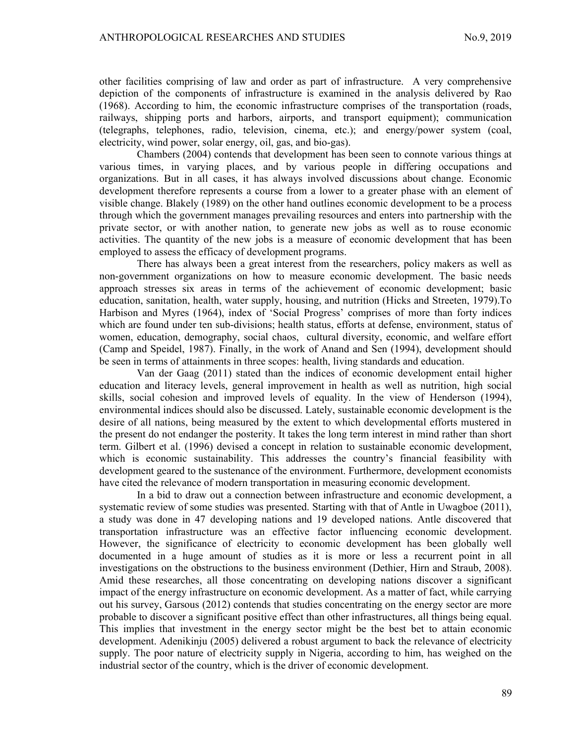other facilities comprising of law and order as part of infrastructure. A very comprehensive depiction of the components of infrastructure is examined in the analysis delivered by Rao (1968). According to him, the economic infrastructure comprises of the transportation (roads, railways, shipping ports and harbors, airports, and transport equipment); communication (telegraphs, telephones, radio, television, cinema, etc.); and energy/power system (coal, electricity, wind power, solar energy, oil, gas, and bio-gas).

Chambers (2004) contends that development has been seen to connote various things at various times, in varying places, and by various people in differing occupations and organizations. But in all cases, it has always involved discussions about change. Economic development therefore represents a course from a lower to a greater phase with an element of visible change. Blakely (1989) on the other hand outlines economic development to be a process through which the government manages prevailing resources and enters into partnership with the private sector, or with another nation, to generate new jobs as well as to rouse economic activities. The quantity of the new jobs is a measure of economic development that has been employed to assess the efficacy of development programs.

There has always been a great interest from the researchers, policy makers as well as non-government organizations on how to measure economic development. The basic needs approach stresses six areas in terms of the achievement of economic development; basic education, sanitation, health, water supply, housing, and nutrition (Hicks and Streeten, 1979).To Harbison and Myres (1964), index of 'Social Progress' comprises of more than forty indices which are found under ten sub-divisions; health status, efforts at defense, environment, status of women, education, demography, social chaos, cultural diversity, economic, and welfare effort (Camp and Speidel, 1987). Finally, in the work of Anand and Sen (1994), development should be seen in terms of attainments in three scopes: health, living standards and education.

Van der Gaag (2011) stated than the indices of economic development entail higher education and literacy levels, general improvement in health as well as nutrition, high social skills, social cohesion and improved levels of equality. In the view of Henderson (1994), environmental indices should also be discussed. Lately, sustainable economic development is the desire of all nations, being measured by the extent to which developmental efforts mustered in the present do not endanger the posterity. It takes the long term interest in mind rather than short term. Gilbert et al. (1996) devised a concept in relation to sustainable economic development, which is economic sustainability. This addresses the country's financial feasibility with development geared to the sustenance of the environment. Furthermore, development economists have cited the relevance of modern transportation in measuring economic development.

In a bid to draw out a connection between infrastructure and economic development, a systematic review of some studies was presented. Starting with that of Antle in Uwagboe (2011), a study was done in 47 developing nations and 19 developed nations. Antle discovered that transportation infrastructure was an effective factor influencing economic development. However, the significance of electricity to economic development has been globally well documented in a huge amount of studies as it is more or less a recurrent point in all investigations on the obstructions to the business environment (Dethier, Hirn and Straub, 2008). Amid these researches, all those concentrating on developing nations discover a significant impact of the energy infrastructure on economic development. As a matter of fact, while carrying out his survey, Garsous (2012) contends that studies concentrating on the energy sector are more probable to discover a significant positive effect than other infrastructures, all things being equal. This implies that investment in the energy sector might be the best bet to attain economic development. Adenikinju (2005) delivered a robust argument to back the relevance of electricity supply. The poor nature of electricity supply in Nigeria, according to him, has weighed on the industrial sector of the country, which is the driver of economic development.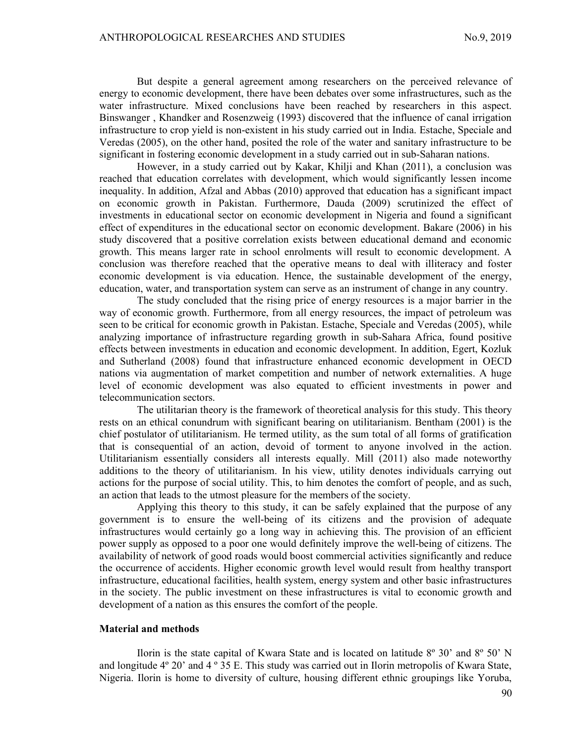But despite a general agreement among researchers on the perceived relevance of energy to economic development, there have been debates over some infrastructures, such as the water infrastructure. Mixed conclusions have been reached by researchers in this aspect. Binswanger , Khandker and Rosenzweig (1993) discovered that the influence of canal irrigation infrastructure to crop yield is non-existent in his study carried out in India. Estache, Speciale and Veredas (2005), on the other hand, posited the role of the water and sanitary infrastructure to be significant in fostering economic development in a study carried out in sub-Saharan nations.

However, in a study carried out by Kakar, Khilji and Khan (2011), a conclusion was reached that education correlates with development, which would significantly lessen income inequality. In addition, Afzal and Abbas (2010) approved that education has a significant impact on economic growth in Pakistan. Furthermore, Dauda (2009) scrutinized the effect of investments in educational sector on economic development in Nigeria and found a significant effect of expenditures in the educational sector on economic development. Bakare (2006) in his study discovered that a positive correlation exists between educational demand and economic growth. This means larger rate in school enrolments will result to economic development. A conclusion was therefore reached that the operative means to deal with illiteracy and foster economic development is via education. Hence, the sustainable development of the energy, education, water, and transportation system can serve as an instrument of change in any country.

The study concluded that the rising price of energy resources is a major barrier in the way of economic growth. Furthermore, from all energy resources, the impact of petroleum was seen to be critical for economic growth in Pakistan. Estache, Speciale and Veredas (2005), while analyzing importance of infrastructure regarding growth in sub-Sahara Africa, found positive effects between investments in education and economic development. In addition, Egert, Kozluk and Sutherland (2008) found that infrastructure enhanced economic development in OECD nations via augmentation of market competition and number of network externalities. A huge level of economic development was also equated to efficient investments in power and telecommunication sectors.

The utilitarian theory is the framework of theoretical analysis for this study. This theory rests on an ethical conundrum with significant bearing on utilitarianism. Bentham (2001) is the chief postulator of utilitarianism. He termed utility, as the sum total of all forms of gratification that is consequential of an action, devoid of torment to anyone involved in the action. Utilitarianism essentially considers all interests equally. Mill (2011) also made noteworthy additions to the theory of utilitarianism. In his view, utility denotes individuals carrying out actions for the purpose of social utility. This, to him denotes the comfort of people, and as such, an action that leads to the utmost pleasure for the members of the society.

Applying this theory to this study, it can be safely explained that the purpose of any government is to ensure the well-being of its citizens and the provision of adequate infrastructures would certainly go a long way in achieving this. The provision of an efficient power supply as opposed to a poor one would definitely improve the well-being of citizens. The availability of network of good roads would boost commercial activities significantly and reduce the occurrence of accidents. Higher economic growth level would result from healthy transport infrastructure, educational facilities, health system, energy system and other basic infrastructures in the society. The public investment on these infrastructures is vital to economic growth and development of a nation as this ensures the comfort of the people.

#### Material and methods

Ilorin is the state capital of Kwara State and is located on latitude 8º 30' and 8º 50' N and longitude 4º 20' and 4 º 35 E. This study was carried out in Ilorin metropolis of Kwara State, Nigeria. Ilorin is home to diversity of culture, housing different ethnic groupings like Yoruba,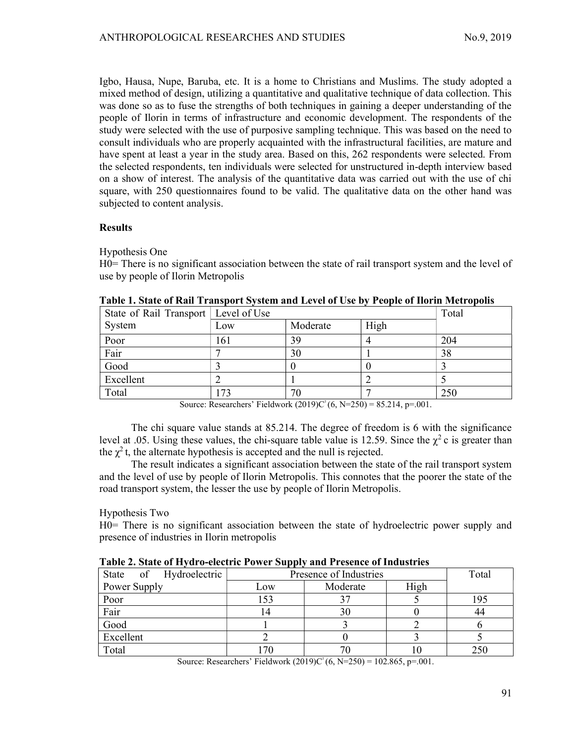Igbo, Hausa, Nupe, Baruba, etc. It is a home to Christians and Muslims. The study adopted a mixed method of design, utilizing a quantitative and qualitative technique of data collection. This was done so as to fuse the strengths of both techniques in gaining a deeper understanding of the people of Ilorin in terms of infrastructure and economic development. The respondents of the study were selected with the use of purposive sampling technique. This was based on the need to consult individuals who are properly acquainted with the infrastructural facilities, are mature and have spent at least a year in the study area. Based on this, 262 respondents were selected. From the selected respondents, ten individuals were selected for unstructured in-depth interview based on a show of interest. The analysis of the quantitative data was carried out with the use of chi square, with 250 questionnaires found to be valid. The qualitative data on the other hand was subjected to content analysis.

# Results

Hypothesis One

H0= There is no significant association between the state of rail transport system and the level of use by people of Ilorin Metropolis

| State of Rail Transport   Level of Use |     | Total                                                                                                 |      |     |
|----------------------------------------|-----|-------------------------------------------------------------------------------------------------------|------|-----|
| System                                 | Low | Moderate                                                                                              | High |     |
| Poor                                   | 161 | 39                                                                                                    |      | 204 |
| Fair                                   |     | 30                                                                                                    |      | 38  |
| Good                                   |     |                                                                                                       |      |     |
| Excellent                              |     |                                                                                                       |      |     |
| Total                                  | 73  | 70<br>المواضل والمحاف والمتعادية والمساوية والمتحدث والمستنقص والمستنقص والمستنقص والمستنقص والمستنقص |      | 250 |

| Table 1. State of Rail Transport System and Level of Use by People of Ilorin Metropolis |  |  |  |
|-----------------------------------------------------------------------------------------|--|--|--|
|                                                                                         |  |  |  |

Source: Researchers' Fieldwork  $(2019)C^{2}(6, N=250) = 85.214$ , p=.001.

The chi square value stands at 85.214. The degree of freedom is 6 with the significance level at .05. Using these values, the chi-square table value is 12.59. Since the  $\chi^2$  c is greater than the  $\chi^2$ t, the alternate hypothesis is accepted and the null is rejected.

The result indicates a significant association between the state of the rail transport system and the level of use by people of Ilorin Metropolis. This connotes that the poorer the state of the road transport system, the lesser the use by people of Ilorin Metropolis.

Hypothesis Two

H0= There is no significant association between the state of hydroelectric power supply and presence of industries in Ilorin metropolis

| Table 2. State of Hydro-electric Tower Supply and Tresence of Hidustries |                        |          |      |     |  |  |
|--------------------------------------------------------------------------|------------------------|----------|------|-----|--|--|
| State of Hydroelectric                                                   | Presence of Industries | Total    |      |     |  |  |
| Power Supply                                                             | Low                    | Moderate | High |     |  |  |
| Poor                                                                     | 153                    |          |      | 195 |  |  |
| Fair                                                                     | $\overline{a}$         | 30       |      |     |  |  |
| Good                                                                     |                        |          |      |     |  |  |
| Excellent                                                                |                        |          |      |     |  |  |
| Total                                                                    |                        |          |      | 250 |  |  |

Table 2. State of Hydro-electric Power Supply and Presence of Industries

Source: Researchers' Fieldwork  $(2019)C^2(6, N=250) = 102.865$ , p=.001.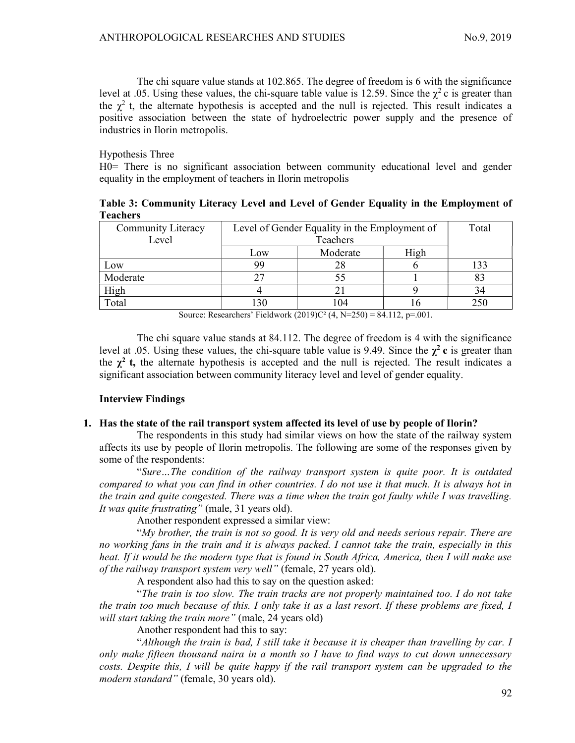The chi square value stands at 102.865. The degree of freedom is 6 with the significance level at .05. Using these values, the chi-square table value is 12.59. Since the  $\gamma^2$  c is greater than the  $\chi^2$  t, the alternate hypothesis is accepted and the null is rejected. This result indicates a positive association between the state of hydroelectric power supply and the presence of industries in Ilorin metropolis.

Hypothesis Three

H0= There is no significant association between community educational level and gender equality in the employment of teachers in Ilorin metropolis

Table 3: Community Literacy Level and Level of Gender Equality in the Employment of Teachers

| <b>Community Literacy</b> | Level of Gender Equality in the Employment of | Total    |      |     |
|---------------------------|-----------------------------------------------|----------|------|-----|
| Level                     | Teachers                                      |          |      |     |
|                           | Low                                           | Moderate | High |     |
| Low                       | 99                                            |          |      | 133 |
| Moderate                  |                                               |          |      |     |
| High                      |                                               |          |      |     |
| Total                     | 130                                           | 04       |      | 250 |

Source: Researchers' Fieldwork  $(2019)C^2$   $(4, N=250) = 84.112$ , p=.001.

The chi square value stands at 84.112. The degree of freedom is 4 with the significance level at .05. Using these values, the chi-square table value is 9.49. Since the  $\chi^2$  c is greater than the  $\chi^2$  t, the alternate hypothesis is accepted and the null is rejected. The result indicates a significant association between community literacy level and level of gender equality.

## Interview Findings

## 1. Has the state of the rail transport system affected its level of use by people of Ilorin?

The respondents in this study had similar views on how the state of the railway system affects its use by people of Ilorin metropolis. The following are some of the responses given by some of the respondents:

"Sure…The condition of the railway transport system is quite poor. It is outdated compared to what you can find in other countries. I do not use it that much. It is always hot in the train and quite congested. There was a time when the train got faulty while I was travelling. It was quite frustrating" (male, 31 years old).

Another respondent expressed a similar view:

"My brother, the train is not so good. It is very old and needs serious repair. There are no working fans in the train and it is always packed. I cannot take the train, especially in this heat. If it would be the modern type that is found in South Africa, America, then I will make use of the railway transport system very well" (female, 27 years old).

A respondent also had this to say on the question asked:

"The train is too slow. The train tracks are not properly maintained too. I do not take the train too much because of this. I only take it as a last resort. If these problems are fixed, I will start taking the train more" (male, 24 years old)

Another respondent had this to say:

"Although the train is bad, I still take it because it is cheaper than travelling by car. I only make fifteen thousand naira in a month so I have to find ways to cut down unnecessary costs. Despite this, I will be quite happy if the rail transport system can be upgraded to the modern standard" (female, 30 years old).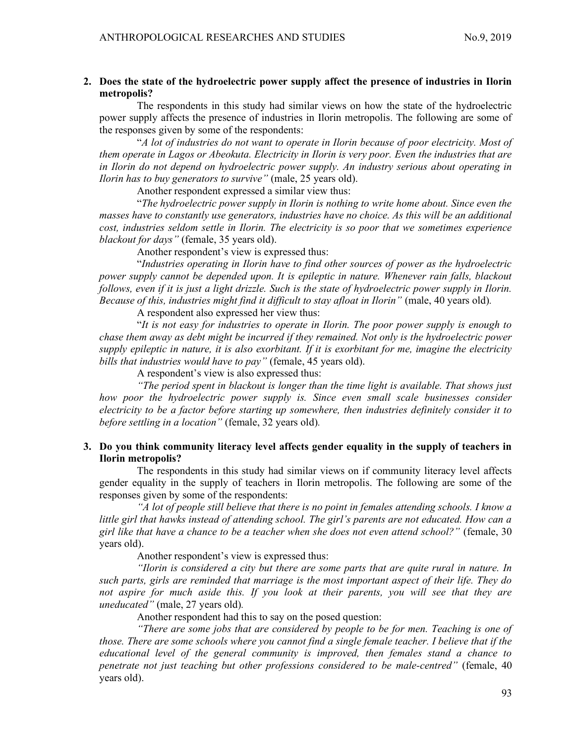# 2. Does the state of the hydroelectric power supply affect the presence of industries in Ilorin metropolis?

The respondents in this study had similar views on how the state of the hydroelectric power supply affects the presence of industries in Ilorin metropolis. The following are some of the responses given by some of the respondents:

"A lot of industries do not want to operate in Ilorin because of poor electricity. Most of them operate in Lagos or Abeokuta. Electricity in Ilorin is very poor. Even the industries that are in Ilorin do not depend on hydroelectric power supply. An industry serious about operating in Ilorin has to buy generators to survive" (male, 25 years old).

Another respondent expressed a similar view thus:

"The hydroelectric power supply in Ilorin is nothing to write home about. Since even the masses have to constantly use generators, industries have no choice. As this will be an additional cost, industries seldom settle in Ilorin. The electricity is so poor that we sometimes experience blackout for days" (female, 35 years old).

Another respondent's view is expressed thus:

"Industries operating in Ilorin have to find other sources of power as the hydroelectric power supply cannot be depended upon. It is epileptic in nature. Whenever rain falls, blackout follows, even if it is just a light drizzle. Such is the state of hydroelectric power supply in Ilorin. Because of this, industries might find it difficult to stay afloat in Ilorin" (male, 40 years old).

A respondent also expressed her view thus:

"It is not easy for industries to operate in Ilorin. The poor power supply is enough to chase them away as debt might be incurred if they remained. Not only is the hydroelectric power supply epileptic in nature, it is also exorbitant. If it is exorbitant for me, imagine the electricity bills that industries would have to pay" (female, 45 years old).

A respondent's view is also expressed thus:

"The period spent in blackout is longer than the time light is available. That shows just how poor the hydroelectric power supply is. Since even small scale businesses consider electricity to be a factor before starting up somewhere, then industries definitely consider it to before settling in a location" (female, 32 years old).

# 3. Do you think community literacy level affects gender equality in the supply of teachers in Ilorin metropolis?

The respondents in this study had similar views on if community literacy level affects gender equality in the supply of teachers in Ilorin metropolis. The following are some of the responses given by some of the respondents:

"A lot of people still believe that there is no point in females attending schools. I know a little girl that hawks instead of attending school. The girl's parents are not educated. How can a girl like that have a chance to be a teacher when she does not even attend school?" (female, 30 years old).

Another respondent's view is expressed thus:

"Ilorin is considered a city but there are some parts that are quite rural in nature. In such parts, girls are reminded that marriage is the most important aspect of their life. They do not aspire for much aside this. If you look at their parents, you will see that they are uneducated" (male, 27 years old).

Another respondent had this to say on the posed question:

"There are some jobs that are considered by people to be for men. Teaching is one of those. There are some schools where you cannot find a single female teacher. I believe that if the educational level of the general community is improved, then females stand a chance to penetrate not just teaching but other professions considered to be male-centred" (female, 40 years old).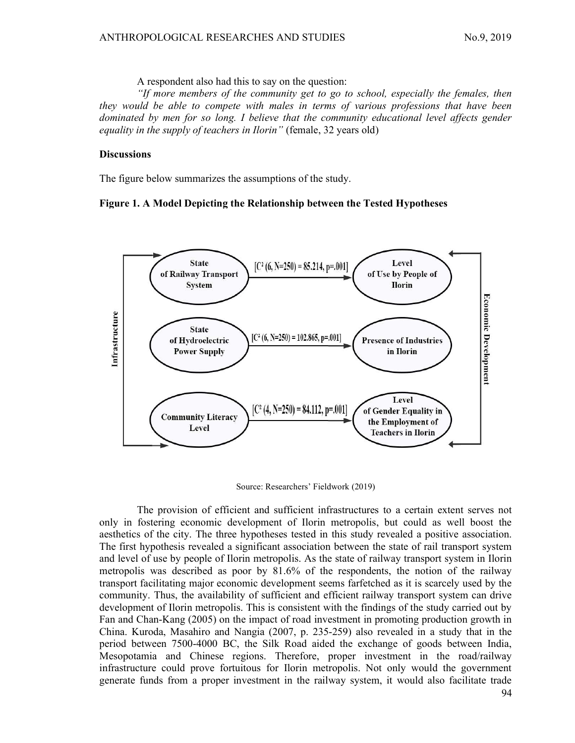A respondent also had this to say on the question:

"If more members of the community get to go to school, especially the females, then they would be able to compete with males in terms of various professions that have been dominated by men for so long. I believe that the community educational level affects gender equality in the supply of teachers in Ilorin" (female, 32 years old)

### **Discussions**

The figure below summarizes the assumptions of the study.

#### Figure 1. A Model Depicting the Relationship between the Tested Hypotheses



Source: Researchers' Fieldwork (2019)

94 The provision of efficient and sufficient infrastructures to a certain extent serves not only in fostering economic development of Ilorin metropolis, but could as well boost the aesthetics of the city. The three hypotheses tested in this study revealed a positive association. The first hypothesis revealed a significant association between the state of rail transport system and level of use by people of Ilorin metropolis. As the state of railway transport system in Ilorin metropolis was described as poor by 81.6% of the respondents, the notion of the railway transport facilitating major economic development seems farfetched as it is scarcely used by the community. Thus, the availability of sufficient and efficient railway transport system can drive development of Ilorin metropolis. This is consistent with the findings of the study carried out by Fan and Chan-Kang (2005) on the impact of road investment in promoting production growth in China. Kuroda, Masahiro and Nangia (2007, p. 235-259) also revealed in a study that in the period between 7500-4000 BC, the Silk Road aided the exchange of goods between India, Mesopotamia and Chinese regions. Therefore, proper investment in the road/railway infrastructure could prove fortuitous for Ilorin metropolis. Not only would the government generate funds from a proper investment in the railway system, it would also facilitate trade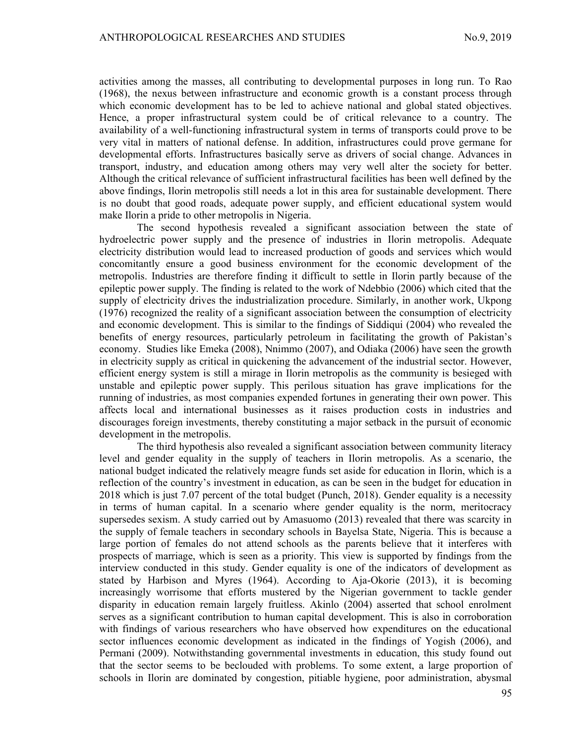activities among the masses, all contributing to developmental purposes in long run. To Rao (1968), the nexus between infrastructure and economic growth is a constant process through which economic development has to be led to achieve national and global stated objectives. Hence, a proper infrastructural system could be of critical relevance to a country. The availability of a well-functioning infrastructural system in terms of transports could prove to be very vital in matters of national defense. In addition, infrastructures could prove germane for developmental efforts. Infrastructures basically serve as drivers of social change. Advances in transport, industry, and education among others may very well alter the society for better. Although the critical relevance of sufficient infrastructural facilities has been well defined by the above findings, Ilorin metropolis still needs a lot in this area for sustainable development. There is no doubt that good roads, adequate power supply, and efficient educational system would make Ilorin a pride to other metropolis in Nigeria.

The second hypothesis revealed a significant association between the state of hydroelectric power supply and the presence of industries in Ilorin metropolis. Adequate electricity distribution would lead to increased production of goods and services which would concomitantly ensure a good business environment for the economic development of the metropolis. Industries are therefore finding it difficult to settle in Ilorin partly because of the epileptic power supply. The finding is related to the work of Ndebbio (2006) which cited that the supply of electricity drives the industrialization procedure. Similarly, in another work, Ukpong (1976) recognized the reality of a significant association between the consumption of electricity and economic development. This is similar to the findings of Siddiqui (2004) who revealed the benefits of energy resources, particularly petroleum in facilitating the growth of Pakistan's economy. Studies like Emeka (2008), Nnimmo (2007), and Odiaka (2006) have seen the growth in electricity supply as critical in quickening the advancement of the industrial sector. However, efficient energy system is still a mirage in Ilorin metropolis as the community is besieged with unstable and epileptic power supply. This perilous situation has grave implications for the running of industries, as most companies expended fortunes in generating their own power. This affects local and international businesses as it raises production costs in industries and discourages foreign investments, thereby constituting a major setback in the pursuit of economic development in the metropolis.

The third hypothesis also revealed a significant association between community literacy level and gender equality in the supply of teachers in Ilorin metropolis. As a scenario, the national budget indicated the relatively meagre funds set aside for education in Ilorin, which is a reflection of the country's investment in education, as can be seen in the budget for education in 2018 which is just 7.07 percent of the total budget (Punch, 2018). Gender equality is a necessity in terms of human capital. In a scenario where gender equality is the norm, meritocracy supersedes sexism. A study carried out by Amasuomo (2013) revealed that there was scarcity in the supply of female teachers in secondary schools in Bayelsa State, Nigeria. This is because a large portion of females do not attend schools as the parents believe that it interferes with prospects of marriage, which is seen as a priority. This view is supported by findings from the interview conducted in this study. Gender equality is one of the indicators of development as stated by Harbison and Myres (1964). According to Aja-Okorie (2013), it is becoming increasingly worrisome that efforts mustered by the Nigerian government to tackle gender disparity in education remain largely fruitless. Akinlo (2004) asserted that school enrolment serves as a significant contribution to human capital development. This is also in corroboration with findings of various researchers who have observed how expenditures on the educational sector influences economic development as indicated in the findings of Yogish (2006), and Permani (2009). Notwithstanding governmental investments in education, this study found out that the sector seems to be beclouded with problems. To some extent, a large proportion of schools in Ilorin are dominated by congestion, pitiable hygiene, poor administration, abysmal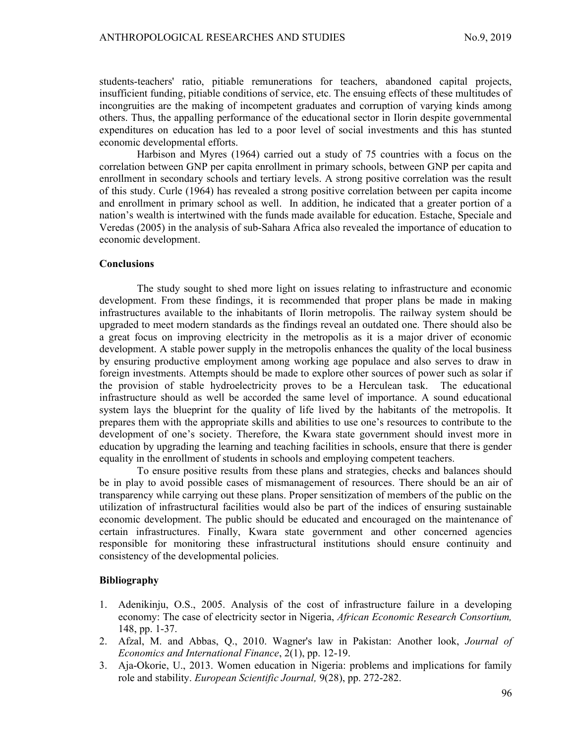students-teachers' ratio, pitiable remunerations for teachers, abandoned capital projects, insufficient funding, pitiable conditions of service, etc. The ensuing effects of these multitudes of incongruities are the making of incompetent graduates and corruption of varying kinds among others. Thus, the appalling performance of the educational sector in Ilorin despite governmental expenditures on education has led to a poor level of social investments and this has stunted economic developmental efforts.

Harbison and Myres (1964) carried out a study of 75 countries with a focus on the correlation between GNP per capita enrollment in primary schools, between GNP per capita and enrollment in secondary schools and tertiary levels. A strong positive correlation was the result of this study. Curle (1964) has revealed a strong positive correlation between per capita income and enrollment in primary school as well. In addition, he indicated that a greater portion of a nation's wealth is intertwined with the funds made available for education. Estache, Speciale and Veredas (2005) in the analysis of sub-Sahara Africa also revealed the importance of education to economic development.

#### **Conclusions**

The study sought to shed more light on issues relating to infrastructure and economic development. From these findings, it is recommended that proper plans be made in making infrastructures available to the inhabitants of Ilorin metropolis. The railway system should be upgraded to meet modern standards as the findings reveal an outdated one. There should also be a great focus on improving electricity in the metropolis as it is a major driver of economic development. A stable power supply in the metropolis enhances the quality of the local business by ensuring productive employment among working age populace and also serves to draw in foreign investments. Attempts should be made to explore other sources of power such as solar if the provision of stable hydroelectricity proves to be a Herculean task. The educational infrastructure should as well be accorded the same level of importance. A sound educational system lays the blueprint for the quality of life lived by the habitants of the metropolis. It prepares them with the appropriate skills and abilities to use one's resources to contribute to the development of one's society. Therefore, the Kwara state government should invest more in education by upgrading the learning and teaching facilities in schools, ensure that there is gender equality in the enrollment of students in schools and employing competent teachers.

To ensure positive results from these plans and strategies, checks and balances should be in play to avoid possible cases of mismanagement of resources. There should be an air of transparency while carrying out these plans. Proper sensitization of members of the public on the utilization of infrastructural facilities would also be part of the indices of ensuring sustainable economic development. The public should be educated and encouraged on the maintenance of certain infrastructures. Finally, Kwara state government and other concerned agencies responsible for monitoring these infrastructural institutions should ensure continuity and consistency of the developmental policies.

#### Bibliography

- 1. Adenikinju, O.S., 2005. Analysis of the cost of infrastructure failure in a developing economy: The case of electricity sector in Nigeria, African Economic Research Consortium, 148, pp. 1-37.
- 2. Afzal, M. and Abbas, Q., 2010. Wagner's law in Pakistan: Another look, Journal of Economics and International Finance, 2(1), pp. 12-19.
- 3. Aja-Okorie, U., 2013. Women education in Nigeria: problems and implications for family role and stability. European Scientific Journal, 9(28), pp. 272-282.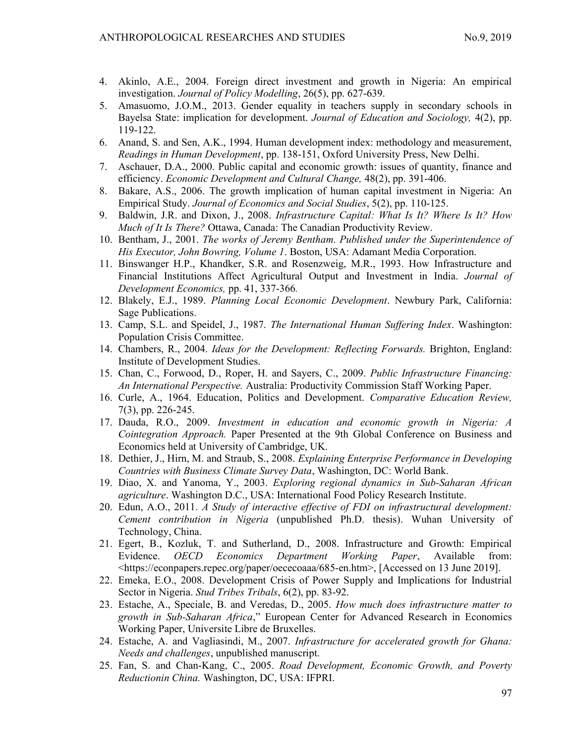- 4. Akinlo, A.E., 2004. Foreign direct investment and growth in Nigeria: An empirical investigation. Journal of Policy Modelling, 26(5), pp. 627-639.
- 5. Amasuomo, J.O.M., 2013. Gender equality in teachers supply in secondary schools in Bayelsa State: implication for development. Journal of Education and Sociology, 4(2), pp. 119-122.
- 6. Anand, S. and Sen, A.K., 1994. Human development index: methodology and measurement, Readings in Human Development, pp. 138-151, Oxford University Press, New Delhi.
- 7. Aschauer, D.A., 2000. Public capital and economic growth: issues of quantity, finance and efficiency. Economic Development and Cultural Change, 48(2), pp. 391-406.
- 8. Bakare, A.S., 2006. The growth implication of human capital investment in Nigeria: An Empirical Study. Journal of Economics and Social Studies, 5(2), pp. 110-125.
- 9. Baldwin, J.R. and Dixon, J., 2008. Infrastructure Capital: What Is It? Where Is It? How Much of It Is There? Ottawa, Canada: The Canadian Productivity Review.
- 10. Bentham, J., 2001. The works of Jeremy Bentham. Published under the Superintendence of His Executor, John Bowring, Volume 1. Boston, USA: Adamant Media Corporation.
- 11. Binswanger H.P., Khandker, S.R. and Rosenzweig, M.R., 1993. How Infrastructure and Financial Institutions Affect Agricultural Output and Investment in India. Journal of Development Economics, pp. 41, 337-366.
- 12. Blakely, E.J., 1989. Planning Local Economic Development. Newbury Park, California: Sage Publications.
- 13. Camp, S.L. and Speidel, J., 1987. The International Human Suffering Index. Washington: Population Crisis Committee.
- 14. Chambers, R., 2004. Ideas for the Development: Reflecting Forwards. Brighton, England: Institute of Development Studies.
- 15. Chan, C., Forwood, D., Roper, H. and Sayers, C., 2009. Public Infrastructure Financing: An International Perspective. Australia: Productivity Commission Staff Working Paper.
- 16. Curle, A., 1964. Education, Politics and Development. Comparative Education Review, 7(3), pp. 226-245.
- 17. Dauda, R.O., 2009. Investment in education and economic growth in Nigeria: A Cointegration Approach. Paper Presented at the 9th Global Conference on Business and Economics held at University of Cambridge, UK.
- 18. Dethier, J., Hirn, M. and Straub, S., 2008. Explaining Enterprise Performance in Developing Countries with Business Climate Survey Data, Washington, DC: World Bank.
- 19. Diao, X. and Yanoma, Y., 2003. Exploring regional dynamics in Sub-Saharan African agriculture. Washington D.C., USA: International Food Policy Research Institute.
- 20. Edun, A.O., 2011. A Study of interactive effective of FDI on infrastructural development: Cement contribution in Nigeria (unpublished Ph.D. thesis). Wuhan University of Technology, China.
- 21. Egert, B., Kozluk, T. and Sutherland, D., 2008. Infrastructure and Growth: Empirical Evidence. OECD Economics Department Working Paper, Available from: <https://econpapers.repec.org/paper/oececoaaa/685-en.htm>, [Accessed on 13 June 2019].
- 22. Emeka, E.O., 2008. Development Crisis of Power Supply and Implications for Industrial Sector in Nigeria. Stud Tribes Tribals, 6(2), pp. 83-92.
- 23. Estache, A., Speciale, B. and Veredas, D., 2005. How much does infrastructure matter to growth in Sub-Saharan Africa," European Center for Advanced Research in Economics Working Paper, Universite Libre de Bruxelles.
- 24. Estache, A. and Vagliasindi, M., 2007. Infrastructure for accelerated growth for Ghana: Needs and challenges, unpublished manuscript.
- 25. Fan, S. and Chan-Kang, C., 2005. Road Development, Economic Growth, and Poverty Reductionin China. Washington, DC, USA: IFPRI.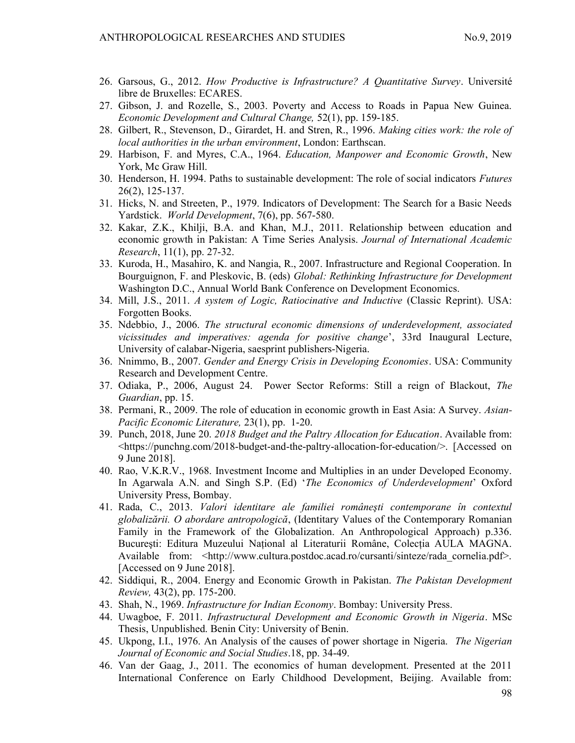- 26. Garsous, G., 2012. How Productive is Infrastructure? A Quantitative Survey. Université libre de Bruxelles: ECARES.
- 27. Gibson, J. and Rozelle, S., 2003. Poverty and Access to Roads in Papua New Guinea. Economic Development and Cultural Change, 52(1), pp. 159-185.
- 28. Gilbert, R., Stevenson, D., Girardet, H. and Stren, R., 1996. Making cities work: the role of local authorities in the urban environment, London: Earthscan.
- 29. Harbison, F. and Myres, C.A., 1964. Education, Manpower and Economic Growth, New York, Mc Graw Hill.
- 30. Henderson, H. 1994. Paths to sustainable development: The role of social indicators Futures 26(2), 125-137.
- 31. Hicks, N. and Streeten, P., 1979. Indicators of Development: The Search for a Basic Needs Yardstick. World Development, 7(6), pp. 567-580.
- 32. Kakar, Z.K., Khilji, B.A. and Khan, M.J., 2011. Relationship between education and economic growth in Pakistan: A Time Series Analysis. Journal of International Academic Research, 11(1), pp. 27-32.
- 33. Kuroda, H., Masahiro, K. and Nangia, R., 2007. Infrastructure and Regional Cooperation. In Bourguignon, F. and Pleskovic, B. (eds) Global: Rethinking Infrastructure for Development Washington D.C., Annual World Bank Conference on Development Economics.
- 34. Mill, J.S., 2011. A system of Logic, Ratiocinative and Inductive (Classic Reprint). USA: Forgotten Books.
- 35. Ndebbio, J., 2006. The structural economic dimensions of underdevelopment, associated vicissitudes and imperatives: agenda for positive change', 33rd Inaugural Lecture, University of calabar-Nigeria, saesprint publishers-Nigeria.
- 36. Nnimmo, B., 2007. Gender and Energy Crisis in Developing Economies. USA: Community Research and Development Centre.
- 37. Odiaka, P., 2006, August 24. Power Sector Reforms: Still a reign of Blackout, The Guardian, pp. 15.
- 38. Permani, R., 2009. The role of education in economic growth in East Asia: A Survey. Asian-Pacific Economic Literature, 23(1), pp. 1-20.
- 39. Punch, 2018, June 20. 2018 Budget and the Paltry Allocation for Education. Available from: <https://punchng.com/2018-budget-and-the-paltry-allocation-for-education/>. [Accessed on 9 June 2018].
- 40. Rao, V.K.R.V., 1968. Investment Income and Multiplies in an under Developed Economy. In Agarwala A.N. and Singh S.P. (Ed) 'The Economics of Underdevelopment' Oxford University Press, Bombay.
- 41. Rada, C., 2013. Valori identitare ale familiei româneşti contemporane în contextul globalizării. O abordare antropologică, (Identitary Values of the Contemporary Romanian Family in the Framework of the Globalization. An Anthropological Approach) p.336. Bucureşti: Editura Muzeului Național al Literaturii Române, Colecția AULA MAGNA. Available from: <http://www.cultura.postdoc.acad.ro/cursanti/sinteze/rada\_cornelia.pdf>. [Accessed on 9 June 2018].
- 42. Siddiqui, R., 2004. Energy and Economic Growth in Pakistan. The Pakistan Development Review, 43(2), pp. 175-200.
- 43. Shah, N., 1969. Infrastructure for Indian Economy. Bombay: University Press.
- 44. Uwagboe, F. 2011. Infrastructural Development and Economic Growth in Nigeria. MSc Thesis, Unpublished. Benin City: University of Benin.
- 45. Ukpong, I.I., 1976. An Analysis of the causes of power shortage in Nigeria. The Nigerian Journal of Economic and Social Studies.18, pp. 34-49.
- 46. Van der Gaag, J., 2011. The economics of human development. Presented at the 2011 International Conference on Early Childhood Development, Beijing. Available from: